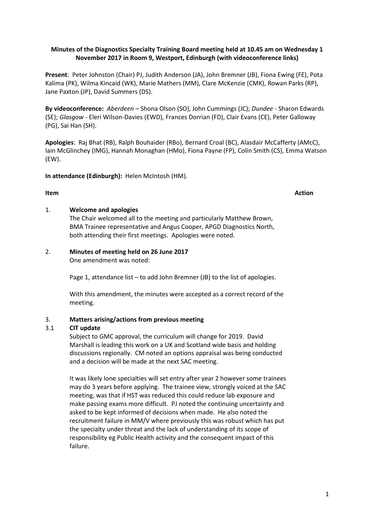# **Minutes of the Diagnostics Specialty Training Board meeting held at 10.45 am on Wednesday 1 November 2017 in Room 9, Westport, Edinburgh (with videoconference links)**

**Present**: Peter Johnston (Chair) PJ, Judith Anderson (JA), John Bremner (JB), Fiona Ewing (FE), Pota Kalima (PK), Wilma Kincaid (WK), Marie Mathers (MM), Clare McKenzie (CMK), Rowan Parks (RP), Jane Paxton (JP), David Summers (DS).

**By videoconference:** *Aberdeen* – Shona Olson (SO), John Cummings (JC); *Dundee* - Sharon Edwards (SE); *Glasgow -* Eleri Wilson-Davies (EWD), Frances Dorrian (FD), Clair Evans (CE), Peter Galloway (PG), Sai Han (SH).

**Apologies**: Raj Bhat (RB), Ralph Bouhaider (RBo), Bernard Croal (BC), Alasdair McCafferty (AMcC), Iain McGlinchey (IMG), Hannah Monaghan (HMo), Fiona Payne (FP), Colin Smith (CS), Emma Watson (EW).

**In attendance (Edinburgh):** Helen McIntosh (HM).

## **Item Action**

## 1. **Welcome and apologies**

The Chair welcomed all to the meeting and particularly Matthew Brown, BMA Trainee representative and Angus Cooper, APGD Diagnostics North, both attending their first meetings. Apologies were noted.

# 2. **Minutes of meeting held on 26 June 2017**

One amendment was noted:

Page 1, attendance list – to add John Bremner (JB) to the list of apologies.

With this amendment, the minutes were accepted as a correct record of the meeting.

# 3. **Matters arising/actions from previous meeting**

## 3.1 **CIT update**

Subject to GMC approval, the curriculum will change for 2019. David Marshall is leading this work on a UK and Scotland wide basis and holding discussions regionally. CM noted an options appraisal was being conducted and a decision will be made at the next SAC meeting.

It was likely lone specialties will set entry after year 2 however some trainees may do 3 years before applying. The trainee view, strongly voiced at the SAC meeting, was that if HST was reduced this could reduce lab exposure and make passing exams more difficult. PJ noted the continuing uncertainty and asked to be kept informed of decisions when made. He also noted the recruitment failure in MM/V where previously this was robust which has put the specialty under threat and the lack of understanding of its scope of responsibility eg Public Health activity and the consequent impact of this failure.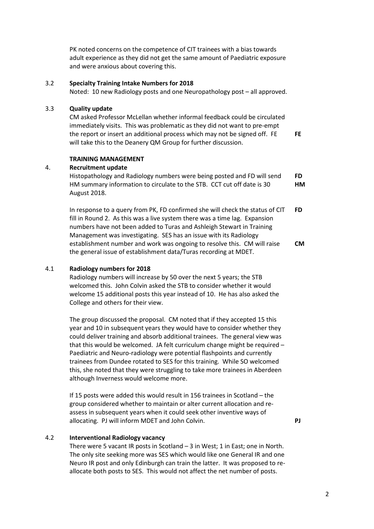2

PK noted concerns on the competence of CIT trainees with a bias towards adult experience as they did not get the same amount of Paediatric exposure and were anxious about covering this.

## 3.2 **Specialty Training Intake Numbers for 2018**

Noted: 10 new Radiology posts and one Neuropathology post – all approved.

# 3.3 **Quality update**

CM asked Professor McLellan whether informal feedback could be circulated immediately visits. This was problematic as they did not want to pre-empt the report or insert an additional process which may not be signed off. FE will take this to the Deanery QM Group for further discussion.

## **TRAINING MANAGEMENT**

# 4. **Recruitment update**

Histopathology and Radiology numbers were being posted and FD will send HM summary information to circulate to the STB. CCT cut off date is 30 August 2018. **FD HM** 

In response to a query from PK, FD confirmed she will check the status of CIT fill in Round 2. As this was a live system there was a time lag. Expansion numbers have not been added to Turas and Ashleigh Stewart in Training Management was investigating. SES has an issue with its Radiology establishment number and work was ongoing to resolve this. CM will raise the general issue of establishment data/Turas recording at MDET. **FD CM** 

# 4.1 **Radiology numbers for 2018**

Radiology numbers will increase by 50 over the next 5 years; the STB welcomed this. John Colvin asked the STB to consider whether it would welcome 15 additional posts this year instead of 10. He has also asked the College and others for their view.

The group discussed the proposal. CM noted that if they accepted 15 this year and 10 in subsequent years they would have to consider whether they could deliver training and absorb additional trainees. The general view was that this would be welcomed. JA felt curriculum change might be required – Paediatric and Neuro-radiology were potential flashpoints and currently trainees from Dundee rotated to SES for this training. While SO welcomed this, she noted that they were struggling to take more trainees in Aberdeen although Inverness would welcome more.

If 15 posts were added this would result in 156 trainees in Scotland – the group considered whether to maintain or alter current allocation and reassess in subsequent years when it could seek other inventive ways of allocating. PJ will inform MDET and John Colvin. **PJ** 

**FE** 

# 4.2 **Interventional Radiology vacancy**

There were 5 vacant IR posts in Scotland - 3 in West; 1 in East; one in North. The only site seeking more was SES which would like one General IR and one Neuro IR post and only Edinburgh can train the latter. It was proposed to reallocate both posts to SES. This would not affect the net number of posts.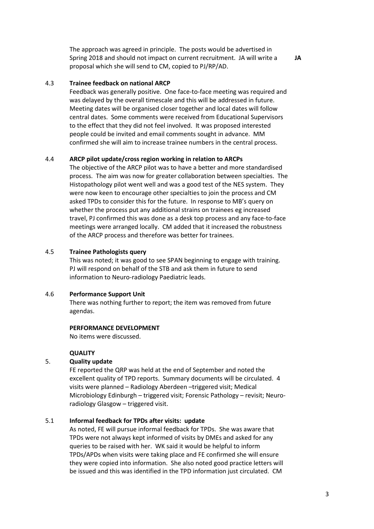The approach was agreed in principle. The posts would be advertised in Spring 2018 and should not impact on current recruitment. JA will write a proposal which she will send to CM, copied to PJ/RP/AD.

## 4.3 **Trainee feedback on national ARCP**

Feedback was generally positive. One face-to-face meeting was required and was delayed by the overall timescale and this will be addressed in future. Meeting dates will be organised closer together and local dates will follow central dates. Some comments were received from Educational Supervisors to the effect that they did not feel involved. It was proposed interested people could be invited and email comments sought in advance. MM confirmed she will aim to increase trainee numbers in the central process.

## 4.4 **ARCP pilot update/cross region working in relation to ARCPs**

The objective of the ARCP pilot was to have a better and more standardised process. The aim was now for greater collaboration between specialties. The Histopathology pilot went well and was a good test of the NES system. They were now keen to encourage other specialties to join the process and CM asked TPDs to consider this for the future. In response to MB's query on whether the process put any additional strains on trainees eg increased travel, PJ confirmed this was done as a desk top process and any face-to-face meetings were arranged locally. CM added that it increased the robustness of the ARCP process and therefore was better for trainees.

## 4.5 **Trainee Pathologists query**

This was noted; it was good to see SPAN beginning to engage with training. PJ will respond on behalf of the STB and ask them in future to send information to Neuro-radiology Paediatric leads.

#### 4.6 **Performance Support Unit**

There was nothing further to report; the item was removed from future agendas.

#### **PERFORMANCE DEVELOPMENT**

No items were discussed.

#### **QUALITY**

## 5. **Quality update**

FE reported the QRP was held at the end of September and noted the excellent quality of TPD reports. Summary documents will be circulated. 4 visits were planned – Radiology Aberdeen –triggered visit; Medical Microbiology Edinburgh – triggered visit; Forensic Pathology – revisit; Neuroradiology Glasgow – triggered visit.

#### 5.1 **Informal feedback for TPDs after visits: update**

As noted, FE will pursue informal feedback for TPDs. She was aware that TPDs were not always kept informed of visits by DMEs and asked for any queries to be raised with her. WK said it would be helpful to inform TPDs/APDs when visits were taking place and FE confirmed she will ensure they were copied into information. She also noted good practice letters will be issued and this was identified in the TPD information just circulated. CM

**JA**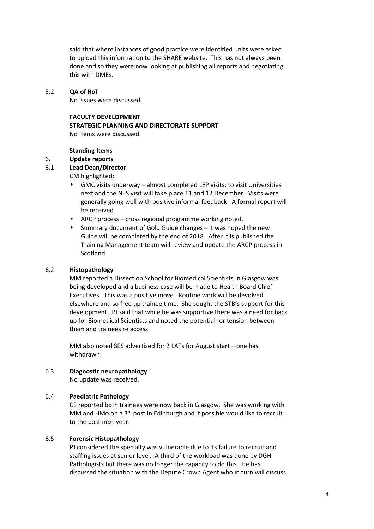said that where instances of good practice were identified units were asked to upload this information to the SHARE website. This has not always been done and so they were now looking at publishing all reports and negotiating this with DMEs.

## 5.2 **QA of RoT**

No issues were discussed.

#### **FACULTY DEVELOPMENT**

#### **STRATEGIC PLANNING AND DIRECTORATE SUPPORT**

No items were discussed.

#### **Standing Items**

#### 6. **Update reports**

# 6.1 **Lead Dean/Director**

CM highlighted:

- GMC visits underway almost completed LEP visits; to visit Universities next and the NES visit will take place 11 and 12 December. Visits were generally going well with positive informal feedback. A formal report will be received.
- ARCP process cross regional programme working noted.
- Summary document of Gold Guide changes it was hoped the new Guide will be completed by the end of 2018. After it is published the Training Management team will review and update the ARCP process in Scotland.

#### 6.2 **Histopathology**

MM reported a Dissection School for Biomedical Scientists in Glasgow was being developed and a business case will be made to Health Board Chief Executives. This was a positive move. Routine work will be devolved elsewhere and so free up trainee time. She sought the STB's support for this development. PJ said that while he was supportive there was a need for back up for Biomedical Scientists and noted the potential for tension between them and trainees re access.

MM also noted SES advertised for 2 LATs for August start – one has withdrawn.

## 6.3 **Diagnostic neuropathology**

No update was received.

## 6.4 **Paediatric Pathology**

CE reported both trainees were now back in Glasgow. She was working with MM and HMo on a 3<sup>rd</sup> post in Edinburgh and if possible would like to recruit to the post next year.

## 6.5 **Forensic Histopathology**

PJ considered the specialty was vulnerable due to its failure to recruit and staffing issues at senior level. A third of the workload was done by DGH Pathologists but there was no longer the capacity to do this. He has discussed the situation with the Depute Crown Agent who in turn will discuss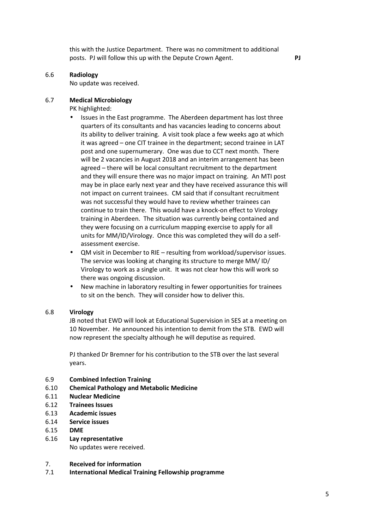this with the Justice Department. There was no commitment to additional posts. PJ will follow this up with the Depute Crown Agent. **PJ** 

## 6.6 **Radiology**

No update was received.

# 6.7 **Medical Microbiology**

PK highlighted:

- Issues in the East programme. The Aberdeen department has lost three quarters of its consultants and has vacancies leading to concerns about its ability to deliver training. A visit took place a few weeks ago at which it was agreed – one CIT trainee in the department; second trainee in LAT post and one supernumerary. One was due to CCT next month. There will be 2 vacancies in August 2018 and an interim arrangement has been agreed – there will be local consultant recruitment to the department and they will ensure there was no major impact on training. An MTI post may be in place early next year and they have received assurance this will not impact on current trainees. CM said that if consultant recruitment was not successful they would have to review whether trainees can continue to train there. This would have a knock-on effect to Virology training in Aberdeen. The situation was currently being contained and they were focusing on a curriculum mapping exercise to apply for all units for MM/ID/Virology. Once this was completed they will do a selfassessment exercise.
- QM visit in December to RIE resulting from workload/supervisor issues. The service was looking at changing its structure to merge MM/ ID/ Virology to work as a single unit. It was not clear how this will work so there was ongoing discussion.
- New machine in laboratory resulting in fewer opportunities for trainees to sit on the bench. They will consider how to deliver this.

## 6.8 **Virology**

JB noted that EWD will look at Educational Supervision in SES at a meeting on 10 November. He announced his intention to demit from the STB. EWD will now represent the specialty although he will deputise as required.

PJ thanked Dr Bremner for his contribution to the STB over the last several years.

- 6.9 **Combined Infection Training**
- 6.10 **Chemical Pathology and Metabolic Medicine**
- 6.11 **Nuclear Medicine**
- 6.12 **Trainees Issues**
- 6.13 **Academic issues**
- 6.14 **Service issues**
- 6.15 **DME**
- 6.16 **Lay representative** No updates were received.
- 7. **Received for information**
- 7.1 **International Medical Training Fellowship programme**